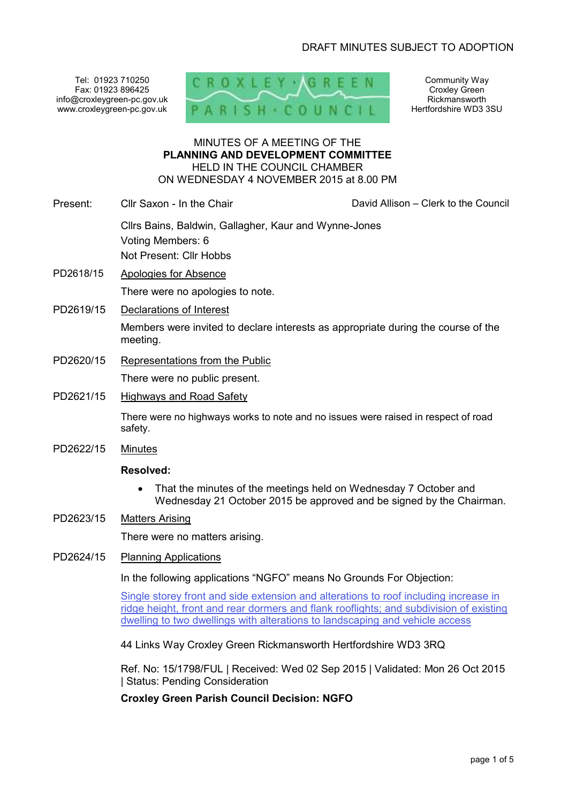Tel: 01923 710250 Fax: 01923 896425 info@croxleygreen-pc.gov.uk www.croxleygreen-pc.gov.uk



Community Way Croxley Green Rickmansworth Hertfordshire WD3 3SU

#### MINUTES OF A MEETING OF THE **PLANNING AND DEVELOPMENT COMMITTEE** HELD IN THE COUNCIL CHAMBER ON WEDNESDAY 4 NOVEMBER 2015 at 8.00 PM

| Present: . | Cllr Saxon - In the Chair                             | David Allison - Clerk to the Council |
|------------|-------------------------------------------------------|--------------------------------------|
|            | Cllrs Bains, Baldwin, Gallagher, Kaur and Wynne-Jones |                                      |
|            | Voting Members: 6                                     |                                      |
|            | Not Present: Cllr Hobbs                               |                                      |
| PD2618/15  | Apologies for Absence                                 |                                      |

There were no apologies to note.

PD2619/15 Declarations of Interest

Members were invited to declare interests as appropriate during the course of the meeting.

PD2620/15 Representations from the Public

There were no public present.

PD2621/15 Highways and Road Safety

There were no highways works to note and no issues were raised in respect of road safety.

PD2622/15 Minutes

#### **Resolved:**

- That the minutes of the meetings held on Wednesday 7 October and Wednesday 21 October 2015 be approved and be signed by the Chairman.
- PD2623/15 Matters Arising

There were no matters arising.

PD2624/15 Planning Applications

In the following applications "NGFO" means No Grounds For Objection:

Single storey front and side extension and alterations to roof including increase in ridge height, front and rear dormers and flank rooflights; and subdivision of existing dwelling to two dwellings with alterations to landscaping and vehicle access

44 Links Way Croxley Green Rickmansworth Hertfordshire WD3 3RQ

Ref. No: 15/1798/FUL | Received: Wed 02 Sep 2015 | Validated: Mon 26 Oct 2015 | Status: Pending Consideration

**Croxley Green Parish Council Decision: NGFO**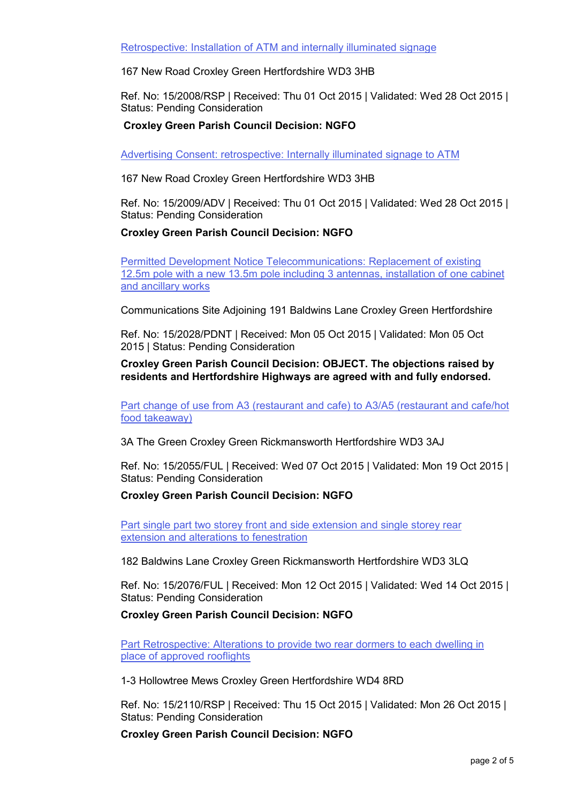Retrospective: Installation of ATM and internally illuminated signage

167 New Road Croxley Green Hertfordshire WD3 3HB

Ref. No: 15/2008/RSP | Received: Thu 01 Oct 2015 | Validated: Wed 28 Oct 2015 | Status: Pending Consideration

# **Croxley Green Parish Council Decision: NGFO**

Advertising Consent: retrospective: Internally illuminated signage to ATM

167 New Road Croxley Green Hertfordshire WD3 3HB

Ref. No: 15/2009/ADV | Received: Thu 01 Oct 2015 | Validated: Wed 28 Oct 2015 | Status: Pending Consideration

### **Croxley Green Parish Council Decision: NGFO**

Permitted Development Notice Telecommunications: Replacement of existing 12.5m pole with a new 13.5m pole including 3 antennas, installation of one cabinet and ancillary works

Communications Site Adjoining 191 Baldwins Lane Croxley Green Hertfordshire

Ref. No: 15/2028/PDNT | Received: Mon 05 Oct 2015 | Validated: Mon 05 Oct 2015 | Status: Pending Consideration

### **Croxley Green Parish Council Decision: OBJECT. The objections raised by residents and Hertfordshire Highways are agreed with and fully endorsed.**

Part change of use from A3 (restaurant and cafe) to A3/A5 (restaurant and cafe/hot food takeaway)

3A The Green Croxley Green Rickmansworth Hertfordshire WD3 3AJ

Ref. No: 15/2055/FUL | Received: Wed 07 Oct 2015 | Validated: Mon 19 Oct 2015 | Status: Pending Consideration

#### **Croxley Green Parish Council Decision: NGFO**

Part single part two storey front and side extension and single storey rear extension and alterations to fenestration

182 Baldwins Lane Croxley Green Rickmansworth Hertfordshire WD3 3LQ

Ref. No: 15/2076/FUL | Received: Mon 12 Oct 2015 | Validated: Wed 14 Oct 2015 | Status: Pending Consideration

#### **Croxley Green Parish Council Decision: NGFO**

Part Retrospective: Alterations to provide two rear dormers to each dwelling in place of approved rooflights

1-3 Hollowtree Mews Croxley Green Hertfordshire WD4 8RD

Ref. No: 15/2110/RSP | Received: Thu 15 Oct 2015 | Validated: Mon 26 Oct 2015 | Status: Pending Consideration

**Croxley Green Parish Council Decision: NGFO**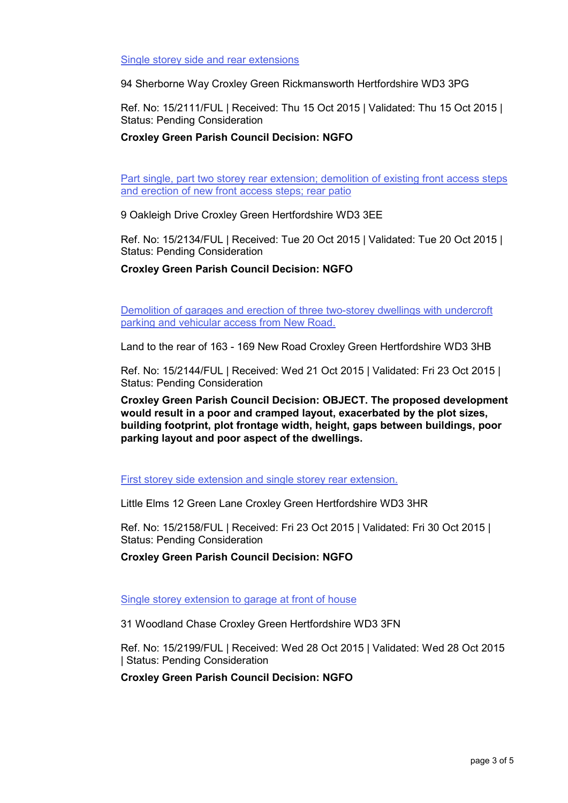Single storey side and rear extensions

94 Sherborne Way Croxley Green Rickmansworth Hertfordshire WD3 3PG

Ref. No: 15/2111/FUL | Received: Thu 15 Oct 2015 | Validated: Thu 15 Oct 2015 | Status: Pending Consideration

# **Croxley Green Parish Council Decision: NGFO**

Part single, part two storey rear extension; demolition of existing front access steps and erection of new front access steps; rear patio

9 Oakleigh Drive Croxley Green Hertfordshire WD3 3EE

Ref. No: 15/2134/FUL | Received: Tue 20 Oct 2015 | Validated: Tue 20 Oct 2015 | Status: Pending Consideration

**Croxley Green Parish Council Decision: NGFO**

Demolition of garages and erection of three two-storey dwellings with undercroft parking and vehicular access from New Road.

Land to the rear of 163 - 169 New Road Croxley Green Hertfordshire WD3 3HB

Ref. No: 15/2144/FUL | Received: Wed 21 Oct 2015 | Validated: Fri 23 Oct 2015 | Status: Pending Consideration

**Croxley Green Parish Council Decision: OBJECT. The proposed development would result in a poor and cramped layout, exacerbated by the plot sizes, building footprint, plot frontage width, height, gaps between buildings, poor parking layout and poor aspect of the dwellings.**

First storey side extension and single storey rear extension.

Little Elms 12 Green Lane Croxley Green Hertfordshire WD3 3HR

Ref. No: 15/2158/FUL | Received: Fri 23 Oct 2015 | Validated: Fri 30 Oct 2015 | Status: Pending Consideration

**Croxley Green Parish Council Decision: NGFO**

Single storey extension to garage at front of house

31 Woodland Chase Croxley Green Hertfordshire WD3 3FN

Ref. No: 15/2199/FUL | Received: Wed 28 Oct 2015 | Validated: Wed 28 Oct 2015 | Status: Pending Consideration

**Croxley Green Parish Council Decision: NGFO**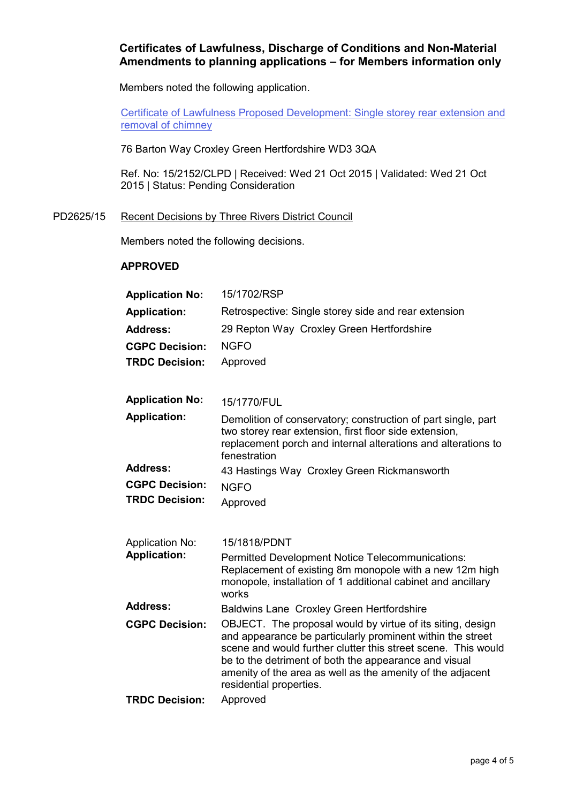# **Certificates of Lawfulness, Discharge of Conditions and Non-Material Amendments to planning applications – for Members information only**

Members noted the following application.

Certificate of Lawfulness Proposed Development: Single storey rear extension and removal of chimney

76 Barton Way Croxley Green Hertfordshire WD3 3QA

Ref. No: 15/2152/CLPD | Received: Wed 21 Oct 2015 | Validated: Wed 21 Oct 2015 | Status: Pending Consideration

## PD2625/15 Recent Decisions by Three Rivers District Council

Members noted the following decisions.

# **APPROVED**

| <b>Application No:</b> | 15/1702/RSP                                                                                                                                                                                                                                                                                                                                 |
|------------------------|---------------------------------------------------------------------------------------------------------------------------------------------------------------------------------------------------------------------------------------------------------------------------------------------------------------------------------------------|
| <b>Application:</b>    | Retrospective: Single storey side and rear extension                                                                                                                                                                                                                                                                                        |
| <b>Address:</b>        | 29 Repton Way Croxley Green Hertfordshire                                                                                                                                                                                                                                                                                                   |
| <b>CGPC Decision:</b>  | <b>NGFO</b>                                                                                                                                                                                                                                                                                                                                 |
| <b>TRDC Decision:</b>  | Approved                                                                                                                                                                                                                                                                                                                                    |
| <b>Application No:</b> | 15/1770/FUL                                                                                                                                                                                                                                                                                                                                 |
| <b>Application:</b>    | Demolition of conservatory; construction of part single, part<br>two storey rear extension, first floor side extension,<br>replacement porch and internal alterations and alterations to<br>fenestration                                                                                                                                    |
| <b>Address:</b>        | 43 Hastings Way Croxley Green Rickmansworth                                                                                                                                                                                                                                                                                                 |
| <b>CGPC Decision:</b>  | <b>NGFO</b>                                                                                                                                                                                                                                                                                                                                 |
| <b>TRDC Decision:</b>  | Approved                                                                                                                                                                                                                                                                                                                                    |
| <b>Application No:</b> | 15/1818/PDNT                                                                                                                                                                                                                                                                                                                                |
| <b>Application:</b>    | Permitted Development Notice Telecommunications:<br>Replacement of existing 8m monopole with a new 12m high<br>monopole, installation of 1 additional cabinet and ancillary<br>works                                                                                                                                                        |
| <b>Address:</b>        | <b>Baldwins Lane Croxley Green Hertfordshire</b>                                                                                                                                                                                                                                                                                            |
| <b>CGPC Decision:</b>  | OBJECT. The proposal would by virtue of its siting, design<br>and appearance be particularly prominent within the street<br>scene and would further clutter this street scene. This would<br>be to the detriment of both the appearance and visual<br>amenity of the area as well as the amenity of the adjacent<br>residential properties. |
| <b>TRDC Decision:</b>  | Approved                                                                                                                                                                                                                                                                                                                                    |